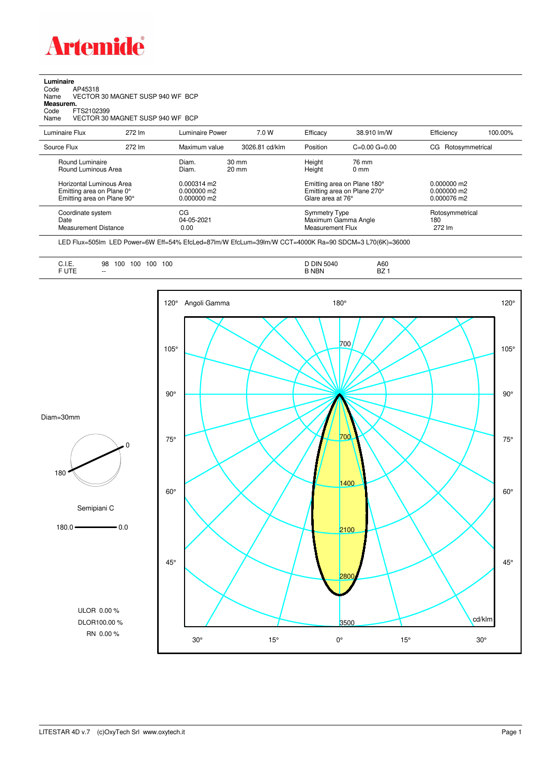

**Luminaire**<br>Code /<br>Name \ Code AP45318 Name VECTOR 30 MAGNET SUSP 940 WF BCP

**Measurem.** Code FTS2102399

Name VECTOR 30 MAGNET SUSP 940 WF BCP

| Luminaire Flux                                                                                                                | 272 lm | Luminaire Power                                                          | 7.0 W                              | Efficacy | 38.910 lm/W                                                                                                                    | Efficiency             | 100.00%                                         |  |
|-------------------------------------------------------------------------------------------------------------------------------|--------|--------------------------------------------------------------------------|------------------------------------|----------|--------------------------------------------------------------------------------------------------------------------------------|------------------------|-------------------------------------------------|--|
| Source Flux                                                                                                                   | 272 lm | Maximum value                                                            | 3026.81 cd/klm                     | Position | $C=0.00$ $G=0.00$                                                                                                              | Rotosymmetrical<br>CG. |                                                 |  |
| Round Luminaire<br>Round Luminous Area<br>Horizontal Luminous Area<br>Emitting area on Plane 0°<br>Emitting area on Plane 90° |        | Diam.<br>Diam.<br>$0.000314 \text{ m}$<br>$0.000000$ m2<br>$0.000000$ m2 | $30 \text{ mm}$<br>$20 \text{ mm}$ |          | Height<br>76 mm<br>Height<br>$0 \text{ mm}$<br>Emitting area on Plane 180°<br>Emitting area on Plane 270°<br>Glare area at 76° |                        |                                                 |  |
| Coordinate system<br>Date<br>Measurement Distance                                                                             |        | CG<br>04-05-2021<br>0.00                                                 |                                    |          | Symmetry Type<br>Maximum Gamma Angle<br>Measurement Flux                                                                       |                        | 0.000076 m2<br>Rotosymmetrical<br>180<br>272 lm |  |

LED Flux=505lm LED Power=6W Eff=54% EfcLed=87lm/W EfcLum=39lm/W CCT=4000K Ra=90 SDCM=3 L70(6K)=36000